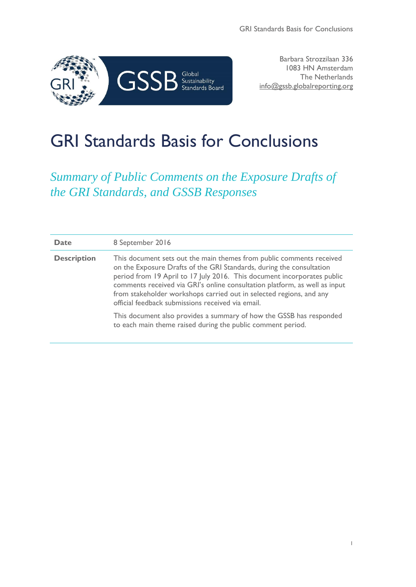

Barbara Strozzilaan 336 1083 HN Amsterdam The Netherlands info@gssb.globalreporting.org

# GRI Standards Basis for Conclusions

*Summary of Public Comments on the Exposure Drafts of the GRI Standards, and GSSB Responses*

| <b>Date</b>        | 8 September 2016                                                                                                                                                                                                                                                                                                                                                                                                                  |
|--------------------|-----------------------------------------------------------------------------------------------------------------------------------------------------------------------------------------------------------------------------------------------------------------------------------------------------------------------------------------------------------------------------------------------------------------------------------|
| <b>Description</b> | This document sets out the main themes from public comments received<br>on the Exposure Drafts of the GRI Standards, during the consultation<br>period from 19 April to 17 July 2016. This document incorporates public<br>comments received via GRI's online consultation platform, as well as input<br>from stakeholder workshops carried out in selected regions, and any<br>official feedback submissions received via email. |
|                    | This document also provides a summary of how the GSSB has responded<br>to each main theme raised during the public comment period.                                                                                                                                                                                                                                                                                                |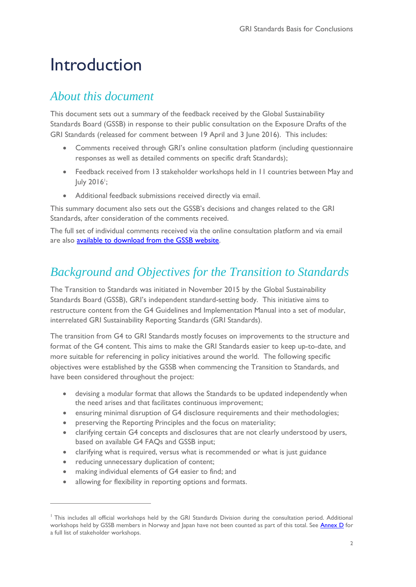# Introduction

# *About this document*

This document sets out a summary of the feedback received by the Global Sustainability Standards Board (GSSB) in response to their public consultation on the Exposure Drafts of the GRI Standards (released for comment between 19 April and 3 June 2016). This includes:

- Comments received through GRI's online consultation platform (including questionnaire responses as well as detailed comments on specific draft Standards);
- Feedback received from 13 stakeholder workshops held in 11 countries between May and July 2016<sup>1</sup>;
- Additional feedback submissions received directly via email.

This summary document also sets out the GSSB's decisions and changes related to the GRI Standards, after consideration of the comments received.

The full set of individual comments received via the online consultation platform and via email are also [available to download from the GSSB website.](https://www.globalreporting.org/resourcelibrary/Public-feedback-received-on-draft-GRI-Standards.zip)

# <span id="page-1-0"></span>*Background and Objectives for the Transition to Standards*

[The Transition to Standards](https://www.globalreporting.org/resourcelibrary/gssb/Item%2015%20-%20Transition%20to%20GRI%20Standards%20-%20Project%20Proposal.pdf) was initiated in November 2015 by the Global Sustainability Standards Board (GSSB), GRI's independent standard-setting body. This initiative aims to restructure content from the G4 Guidelines and Implementation Manual into a set of modular, interrelated GRI Sustainability Reporting Standards (GRI Standards).

The transition from G4 to GRI Standards mostly focuses on improvements to the structure and format of the G4 content. This aims to make the GRI Standards easier to keep up-to-date, and more suitable for referencing in policy initiatives around the world. The following specific objectives were established by the GSSB when commencing the Transition to Standards, and have been considered throughout the project:

- devising a modular format that allows the Standards to be updated independently when the need arises and that facilitates continuous improvement;
- ensuring minimal disruption of G4 disclosure requirements and their methodologies;
- preserving the Reporting Principles and the focus on materiality;
- clarifying certain G4 concepts and disclosures that are not clearly understood by users, based on available G4 FAQs and GSSB input;
- clarifying what is required, versus what is recommended or what is just guidance
- reducing unnecessary duplication of content;

 $\overline{a}$ 

- making individual elements of G4 easier to find; and
- allowing for flexibility in reporting options and formats.

<sup>&</sup>lt;sup>1</sup> This includes all official workshops held by the GRI Standards Division during the consultation period. Additional workshops held by GSSB members in Norway and Japan have not been counted as part of this total. See [Annex](#page-24-0) D for a full list of stakeholder workshops.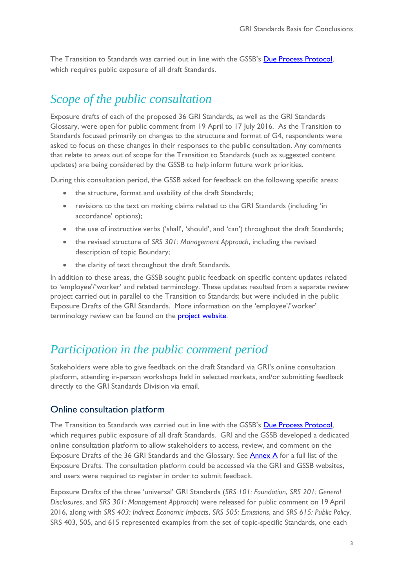The Transition to Standards was carried out in line with the GSSB's [Due Process Protocol,](https://www.globalreporting.org/standards/reporting-framework-overview/Pages/default.aspx) which requires public exposure of all draft Standards.

# *Scope of the public consultation*

Exposure drafts of each of the proposed 36 GRI Standards, as well as the GRI Standards Glossary, were open for public comment from 19 April to 17 July 2016. As the Transition to Standards focused primarily on changes to the structure and format of G4, respondents were asked to focus on these changes in their responses to the public consultation. Any comments that relate to areas out of scope for the Transition to Standards (such as suggested content updates) are being considered by the GSSB to help inform future work priorities.

During this consultation period, the GSSB asked for feedback on the following specific areas:

- the structure, format and usability of the draft Standards;
- revisions to the text on making claims related to the GRI Standards (including 'in accordance' options);
- the use of instructive verbs ('shall', 'should', and 'can') throughout the draft Standards;
- the revised structure of *SRS 301: Management Approach*, including the revised description of topic Boundary;
- the clarity of text throughout the draft Standards.

In addition to these areas, the GSSB sought public feedback on specific content updates related to 'employee'/'worker' and related terminology. These updates resulted from a separate review project carried out in parallel to the Transition to Standards; but were included in the public Exposure Drafts of the GRI Standards. More information on the 'employee'/'worker' terminology review can be found on the **project website**.

# *Participation in the public comment period*

Stakeholders were able to give feedback on the draft Standard via GRI's online consultation platform, attending in-person workshops held in selected markets, and/or submitting feedback directly to the GRI Standards Division via email.

### Online consultation platform

The Transition to Standards was carried out in line with the GSSB's [Due Process Protocol,](https://www.globalreporting.org/standards/reporting-framework-overview/Pages/default.aspx) which requires public exposure of all draft Standards. GRI and the GSSB developed a dedicated online consultation platform to allow stakeholders to access, review, and comment on the Exposure Drafts of the 36 GRI Standards and the Glossary. See [Annex A](#page-20-0) for a full list of the Exposure Drafts. The consultation platform could be accessed via the GRI and GSSB websites, and users were required to register in order to submit feedback.

Exposure Drafts of the three 'universal' GRI Standards (*SRS 101: Foundation*, *SRS 201: General Disclosures*, and *SRS 301: Management Approach*) were released for public comment on 19 April 2016, along with *SRS 403: Indirect Economic Impacts*, *SRS 505: Emissions*, and *SRS 615: Public Polic*y. SRS 403, 505, and 615 represented examples from the set of topic-specific Standards, one each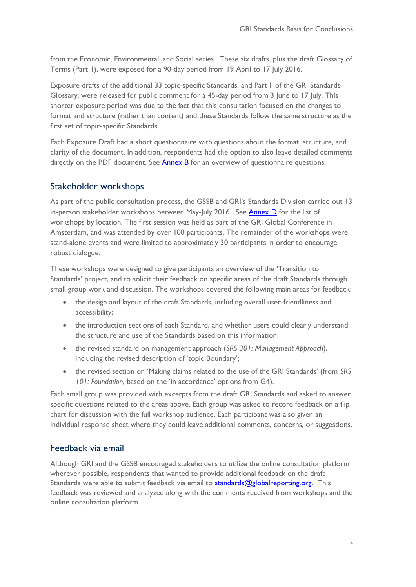from the Economic, Environmental, and Social series. These six drafts, plus the draft Glossary of Terms (Part 1), were exposed for a 90-day period from 19 April to 17 July 2016.

Exposure drafts of the additional 33 topic-specific Standards, and Part II of the GRI Standards Glossary, were released for public comment for a 45-day period from 3 June to 17 July. This shorter exposure period was due to the fact that this consultation focused on the changes to format and structure (rather than content) and these Standards follow the same structure as the first set of topic-specific Standards.

Each Exposure Draft had a short questionnaire with questions about the format, structure, and clarity of the document. In addition, respondents had the option to also leave detailed comments directly on the PDF document. See  $\frac{\text{Annex }B}{\text{for an overview of questionnaire questions.}}$ 

# Stakeholder workshops

As part of the public consultation process, the GSSB and GRI's Standards Division carried out 13 in-person stakeholder workshops between May-July 2016. See [Annex D](#page-24-1) for the list of workshops by location. The first session was held as part of the GRI Global Conference in Amsterdam, and was attended by over 100 participants. The remainder of the workshops were stand-alone events and were limited to approximately 30 participants in order to encourage robust dialogue.

These workshops were designed to give participants an overview of the 'Transition to Standards' project, and to solicit their feedback on specific areas of the draft Standards through small group work and discussion. The workshops covered the following main areas for feedback:

- the design and layout of the draft Standards, including overall user-friendliness and accessibility;
- the introduction sections of each Standard, and whether users could clearly understand the structure and use of the Standards based on this information;
- the revised standard on management approach (*SRS 301: Management Approach*), including the revised description of 'topic Boundary';
- the revised section on 'Making claims related to the use of the GRI Standards' (from *SRS 101: Foundation*, based on the 'in accordance' options from G4).

Each small group was provided with excerpts from the draft GRI Standards and asked to answer specific questions related to the areas above. Each group was asked to record feedback on a flip chart for discussion with the full workshop audience. Each participant was also given an individual response sheet where they could leave additional comments, concerns, or suggestions.

# Feedback via email

Although GRI and the GSSB encouraged stakeholders to utilize the online consultation platform wherever possible, respondents that wanted to provide additional feedback on the draft Standards were able to submit feedback via email to [standards@globalreporting.org.](mailto:standards@globalreporting.org) This feedback was reviewed and analyzed along with the comments received from workshops and the online consultation platform.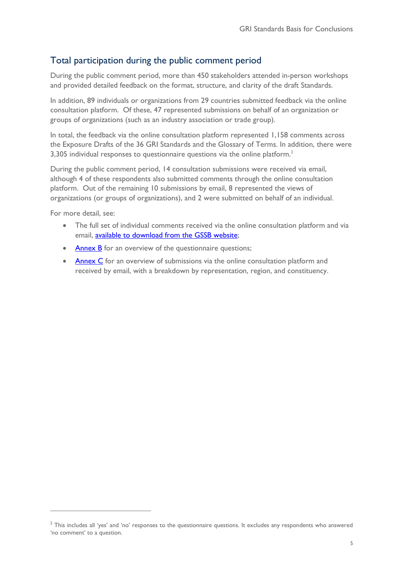# Total participation during the public comment period

During the public comment period, more than 450 stakeholders attended in-person workshops and provided detailed feedback on the format, structure, and clarity of the draft Standards.

In addition, 89 individuals or organizations from 29 countries submitted feedback via the online consultation platform. Of these, 47 represented submissions on behalf of an organization or groups of organizations (such as an industry association or trade group).

In total, the feedback via the online consultation platform represented 1,158 comments across the Exposure Drafts of the 36 GRI Standards and the Glossary of Terms. In addition, there were 3,305 individual responses to questionnaire questions via the online platform. 2

During the public comment period, 14 consultation submissions were received via email, although 4 of these respondents also submitted comments through the online consultation platform. Out of the remaining 10 submissions by email, 8 represented the views of organizations (or groups of organizations), and 2 were submitted on behalf of an individual.

For more detail, see:

 $\overline{a}$ 

- The full set of individual comments received via the online consultation platform and via email, [available to download from](https://www.globalreporting.org/resourcelibrary/Public-feedback-received-on-draft-GRI-Standards.zip) the GSSB website;
- [Annex B](#page-22-0) for an overview of the questionnaire questions;
- [Annex C](#page-23-0) for an overview of submissions via the online consultation platform and received by email, with a breakdown by representation, region, and constituency.

 $2$  This includes all 'yes' and 'no' responses to the questionnaire questions. It excludes any respondents who answered 'no comment' to a question.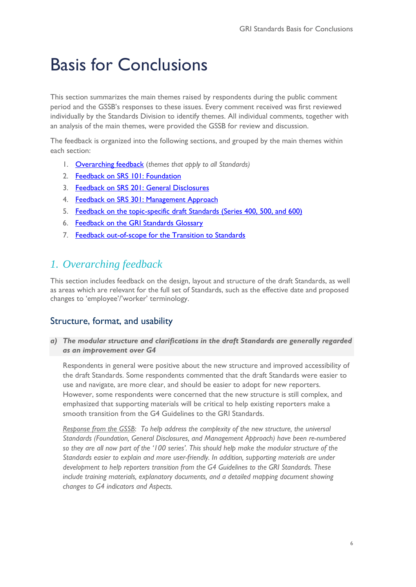# Basis for Conclusions

This section summarizes the main themes raised by respondents during the public comment period and the GSSB's responses to these issues. Every comment received was first reviewed individually by the Standards Division to identify themes. All individual comments, together with an analysis of the main themes, were provided the GSSB for review and discussion.

The feedback is organized into the following sections, and grouped by the main themes within each section:

- 1. [Overarching feedback](#page-5-0) (*themes that apply to all Standards)*
- 2. [Feedback on SRS](#page-10-0) 101: Foundation
- 3. [Feedback on SRS 201: General Disclosures](#page-12-0)
- 4. Feedback on SRS [301: Management Approach](#page-14-0)
- 5. [Feedback on the topic-specific draft Standards \(Series 400, 500, and 600\)](#page-15-0)
- 6. [Feedback on the GRI Standards Glossary](#page-18-0)
- 7. [Feedback out-of-scope for the Transition to Standards](#page-19-0)

# <span id="page-5-0"></span>*1. Overarching feedback*

This section includes feedback on the design, layout and structure of the draft Standards, as well as areas which are relevant for the full set of Standards, such as the effective date and proposed changes to 'employee'/'worker' terminology.

## Structure, format, and usability

*a) The modular structure and clarifications in the draft Standards are generally regarded as an improvement over G4*

Respondents in general were positive about the new structure and improved accessibility of the draft Standards. Some respondents commented that the draft Standards were easier to use and navigate, are more clear, and should be easier to adopt for new reporters. However, some respondents were concerned that the new structure is still complex, and emphasized that supporting materials will be critical to help existing reporters make a smooth transition from the G4 Guidelines to the GRI Standards.

*Response from the GSSB*: *To help address the complexity of the new structure, the universal Standards (Foundation, General Disclosures, and Management Approach) have been re-numbered so they are all now part of the '100 series'. This should help make the modular structure of the Standards easier to explain and more user-friendly. In addition, supporting materials are under development to help reporters transition from the G4 Guidelines to the GRI Standards. These include training materials, explanatory documents, and a detailed mapping document showing changes to G4 indicators and Aspects.*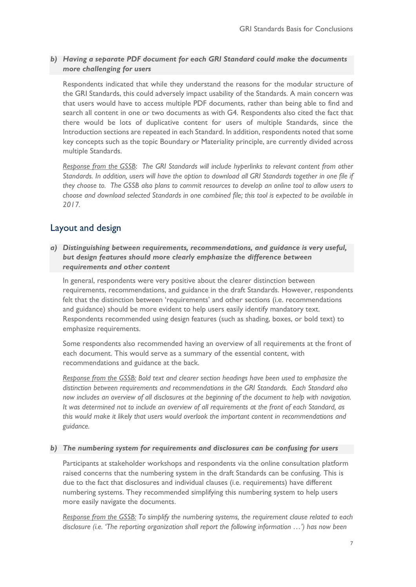## *b) Having a separate PDF document for each GRI Standard could make the documents more challenging for users*

Respondents indicated that while they understand the reasons for the modular structure of the GRI Standards, this could adversely impact usability of the Standards. A main concern was that users would have to access multiple PDF documents, rather than being able to find and search all content in one or two documents as with G4. Respondents also cited the fact that there would be lots of duplicative content for users of multiple Standards, since the Introduction sections are repeated in each Standard. In addition, respondents noted that some key concepts such as the topic Boundary or Materiality principle, are currently divided across multiple Standards.

*Response from the GSSB*: *The GRI Standards will include hyperlinks to relevant content from other Standards. In addition, users will have the option to download all GRI Standards together in one file if they choose to. The GSSB also plans to commit resources to develop an online tool to allow users to choose and download selected Standards in one combined file; this tool is expected to be available in 2017.*

# Layout and design

*a) Distinguishing between requirements, recommendations, and guidance is very useful, but design features should more clearly emphasize the difference between requirements and other content* 

In general, respondents were very positive about the clearer distinction between requirements, recommendations, and guidance in the draft Standards. However, respondents felt that the distinction between 'requirements' and other sections (i.e. recommendations and guidance) should be more evident to help users easily identify mandatory text. Respondents recommended using design features (such as shading, boxes, or bold text) to emphasize requirements.

Some respondents also recommended having an overview of all requirements at the front of each document. This would serve as a summary of the essential content, with recommendations and guidance at the back.

*Response from the GSSB: Bold text and clearer section headings have been used to emphasize the distinction between requirements and recommendations in the GRI Standards. Each Standard also now includes an overview of all disclosures at the beginning of the document to help with navigation. It was determined not to include an overview of all requirements at the front of each Standard, as this would make it likely that users would overlook the important content in recommendations and guidance.*

#### *b) The numbering system for requirements and disclosures can be confusing for users*

Participants at stakeholder workshops and respondents via the online consultation platform raised concerns that the numbering system in the draft Standards can be confusing. This is due to the fact that disclosures and individual clauses (i.e. requirements) have different numbering systems. They recommended simplifying this numbering system to help users more easily navigate the documents.

*Response from the GSSB: To simplify the numbering systems, the requirement clause related to each disclosure (i.e. 'The reporting organization shall report the following information …') has now been*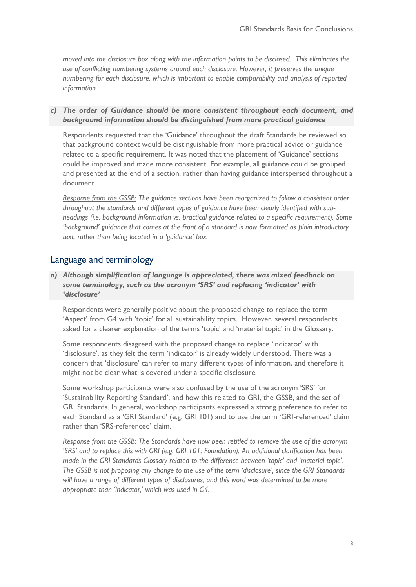*moved into the disclosure box along with the information points to be disclosed. This eliminates the use of conflicting numbering systems around each disclosure. However, it preserves the unique numbering for each disclosure, which is important to enable comparability and analysis of reported information.*

*c) The order of Guidance should be more consistent throughout each document, and background information should be distinguished from more practical guidance* 

Respondents requested that the 'Guidance' throughout the draft Standards be reviewed so that background context would be distinguishable from more practical advice or guidance related to a specific requirement. It was noted that the placement of 'Guidance' sections could be improved and made more consistent. For example, all guidance could be grouped and presented at the end of a section, rather than having guidance interspersed throughout a document.

*Response from the GSSB: The guidance sections have been reorganized to follow a consistent order throughout the standards and different types of guidance have been clearly identified with subheadings (i.e. background information vs. practical guidance related to a specific requirement). Some 'background' guidance that comes at the front of a standard is now formatted as plain introductory text, rather than being located in a 'guidance' box.*

## Language and terminology

*a) Although simplification of language is appreciated, there was mixed feedback on some terminology, such as the acronym 'SRS' and replacing 'indicator' with 'disclosure'* 

Respondents were generally positive about the proposed change to replace the term 'Aspect' from G4 with 'topic' for all sustainability topics. However, several respondents asked for a clearer explanation of the terms 'topic' and 'material topic' in the Glossary.

Some respondents disagreed with the proposed change to replace 'indicator' with 'disclosure', as they felt the term 'indicator' is already widely understood. There was a concern that 'disclosure' can refer to many different types of information, and therefore it might not be clear what is covered under a specific disclosure.

Some workshop participants were also confused by the use of the acronym 'SRS' for 'Sustainability Reporting Standard', and how this related to GRI, the GSSB, and the set of GRI Standards. In general, workshop participants expressed a strong preference to refer to each Standard as a 'GRI Standard' (e.g. GRI 101) and to use the term 'GRI-referenced' claim rather than 'SRS-referenced' claim.

*Response from the GSSB: The Standards have now been retitled to remove the use of the acronym 'SRS' and to replace this with GRI (e.g. GRI 101: Foundation). An additional clarification has been made in the GRI Standards Glossary related to the difference between 'topic' and 'material topic'. The GSSB is not proposing any change to the use of the term 'disclosure', since the GRI Standards will have a range of different types of disclosures, and this word was determined to be more appropriate than 'indicator,' which was used in G4.*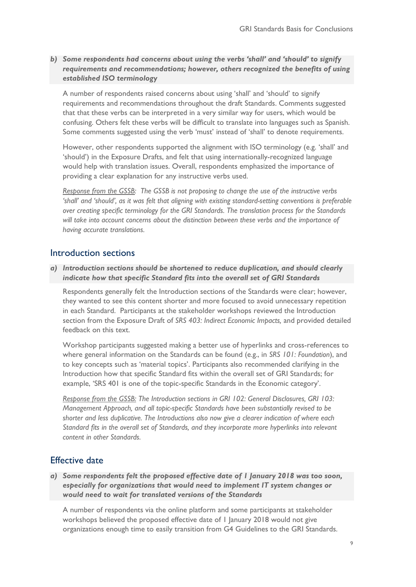### *b) Some respondents had concerns about using the verbs 'shall' and 'should' to signify requirements and recommendations; however, others recognized the benefits of using established ISO terminology*

A number of respondents raised concerns about using 'shall' and 'should' to signify requirements and recommendations throughout the draft Standards. Comments suggested that that these verbs can be interpreted in a very similar way for users, which would be confusing. Others felt these verbs will be difficult to translate into languages such as Spanish. Some comments suggested using the verb 'must' instead of 'shall' to denote requirements.

However, other respondents supported the alignment with ISO terminology (e.g. 'shall' and 'should') in the Exposure Drafts, and felt that using internationally-recognized language would help with translation issues. Overall, respondents emphasized the importance of providing a clear explanation for any instructive verbs used.

*Response from the GSSB: The GSSB is not proposing to change the use of the instructive verbs 'shall' and 'should', as it was felt that aligning with existing standard-setting conventions is preferable over creating specific terminology for the GRI Standards. The translation process for the Standards will take into account concerns about the distinction between these verbs and the importance of having accurate translations.* 

### Introduction sections

#### *a) Introduction sections should be shortened to reduce duplication, and should clearly indicate how that specific Standard fits into the overall set of GRI Standards*

Respondents generally felt the Introduction sections of the Standards were clear; however, they wanted to see this content shorter and more focused to avoid unnecessary repetition in each Standard. Participants at the stakeholder workshops reviewed the Introduction section from the Exposure Draft of *SRS 403: Indirect Economic Impacts,* and provided detailed feedback on this text.

Workshop participants suggested making a better use of hyperlinks and cross-references to where general information on the Standards can be found (e.g., in *SRS 101: Foundation*), and to key concepts such as 'material topics'. Participants also recommended clarifying in the Introduction how that specific Standard fits within the overall set of GRI Standards; for example, 'SRS 401 is one of the topic-specific Standards in the Economic category'.

*Response from the GSSB: The Introduction sections in GRI 102: General Disclosures, GRI 103: Management Approach, and all topic-specific Standards have been substantially revised to be shorter and less duplicative. The Introductions also now give a clearer indication of where each Standard fits in the overall set of Standards, and they incorporate more hyperlinks into relevant content in other Standards.* 

### Effective date

*a) Some respondents felt the proposed effective date of 1 January 2018 was too soon, especially for organizations that would need to implement IT system changes or would need to wait for translated versions of the Standards* 

A number of respondents via the online platform and some participants at stakeholder workshops believed the proposed effective date of 1 January 2018 would not give organizations enough time to easily transition from G4 Guidelines to the GRI Standards.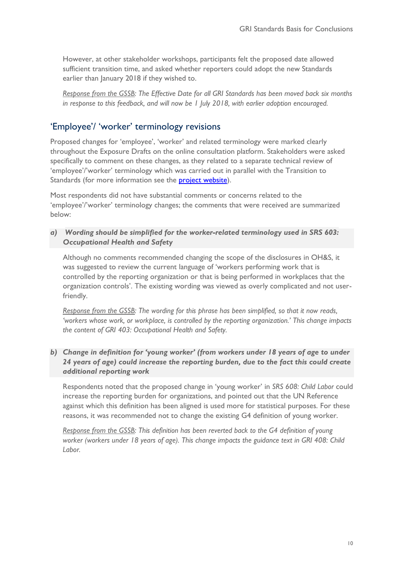However, at other stakeholder workshops, participants felt the proposed date allowed sufficient transition time, and asked whether reporters could adopt the new Standards earlier than January 2018 if they wished to.

*Response from the GSSB: The Effective Date for all GRI Standards has been moved back six months in response to this feedback, and will now be 1 July 2018, with earlier adoption encouraged.*

# 'Employee'/ 'worker' terminology revisions

Proposed changes for 'employee', 'worker' and related terminology were marked clearly throughout the Exposure Drafts on the online consultation platform. Stakeholders were asked specifically to comment on these changes, as they related to a separate technical review of 'employee'/'worker' terminology which was carried out in parallel with the Transition to Standards (for more information see the **project website**).

Most respondents did not have substantial comments or concerns related to the 'employee'/'worker' terminology changes; the comments that were received are summarized below:

*a) Wording should be simplified for the worker-related terminology used in SRS 603: Occupational Health and Safety*

Although no comments recommended changing the scope of the disclosures in OH&S, it was suggested to review the current language of 'workers performing work that is controlled by the reporting organization or that is being performed in workplaces that the organization controls'. The existing wording was viewed as overly complicated and not userfriendly.

*Response from the GSSB: The wording for this phrase has been simplified, so that it now reads, 'workers whose work, or workplace, is controlled by the reporting organization.' This change impacts the content of GRI 403: Occupational Health and Safety.*

*b) Change in definition for 'young worker' (from workers under 18 years of age to under 24 years of age) could increase the reporting burden, due to the fact this could create additional reporting work*

Respondents noted that the proposed change in 'young worker' in *SRS 608: Child Labor* could increase the reporting burden for organizations, and pointed out that the UN Reference against which this definition has been aligned is used more for statistical purposes. For these reasons, it was recommended not to change the existing G4 definition of young worker.

*Response from the GSSB: This definition has been reverted back to the G4 definition of young worker (workers under 18 years of age). This change impacts the guidance text in GRI 408: Child Labor.*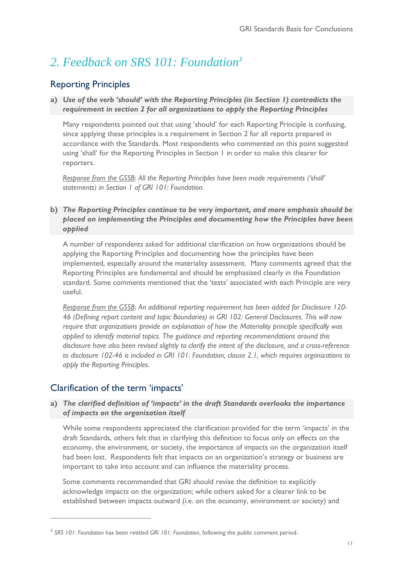# <span id="page-10-0"></span>*2. Feedback on SRS 101: Foundation<sup>3</sup>*

# Reporting Principles

### **a)** *Use of the verb 'should' with the Reporting Principles (in Section 1) contradicts the requirement in section 2 for all organizations to apply the Reporting Principles*

Many respondents pointed out that using 'should' for each Reporting Principle is confusing, since applying these principles is a requirement in Section 2 for all reports prepared in accordance with the Standards. Most respondents who commented on this point suggested using 'shall' for the Reporting Principles in Section 1 in order to make this clearer for reporters.

*Response from the GSSB*: *All the Reporting Principles have been made requirements ('shall' statements) in Section 1 of GRI 101: Foundation.* 

### **b)** *The Reporting Principles continue to be very important, and more emphasis should be placed on implementing the Principles and documenting how the Principles have been applied*

A number of respondents asked for additional clarification on how organizations should be applying the Reporting Principles and documenting how the principles have been implemented, especially around the materiality assessment. Many comments agreed that the Reporting Principles are fundamental and should be emphasized clearly in the Foundation standard. Some comments mentioned that the 'tests' associated with each Principle are very useful.

*Response from the GSSB*: *An additional reporting requirement has been added for Disclosure 120- 46 (Defining report content and topic Boundaries) in GRI 102: General Disclosures. This will now require that organizations provide an explanation of how the Materiality principle specifically was applied to identify material topics. The guidance and reporting recommendations around this disclosure have also been revised slightly to clarify the intent of the disclosure, and a cross-reference to disclosure 102-46 is included in GRI 101: Foundation, clause 2.1, which requires organizations to apply the Reporting Principles.*

# Clarification of the term 'impacts'

 $\overline{a}$ 

#### **a)** *The clarified definition of 'impacts' in the draft Standards overlooks the importance of impacts on the organization itself*

While some respondents appreciated the clarification provided for the term 'impacts' in the draft Standards, others felt that in clarifying this definition to focus only on effects on the economy, the environment, or society, the importance of impacts on the organization itself had been lost. Respondents felt that impacts on an organization's strategy or business are important to take into account and can influence the materiality process.

Some comments recommended that GRI should revise the definition to explicitly acknowledge impacts on the organization; while others asked for a clearer link to be established between impacts outward (i.e. on the economy, environment or society) and

<sup>3</sup> *SRS 101: Foundation* has been retitled *GRI 101: Foundation*, following the public comment period.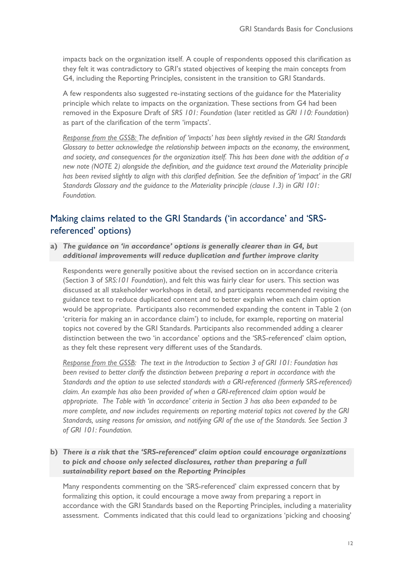impacts back on the organization itself. A couple of respondents opposed this clarification as they felt it was contradictory to GRI's stated objectives of keeping the main concepts from G4, including the Reporting Principles, consistent in the transition to GRI Standards.

A few respondents also suggested re-instating sections of the guidance for the Materiality principle which relate to impacts on the organization. These sections from G4 had been removed in the Exposure Draft of *SRS 101: Foundation* (later retitled as *GRI 110: Foundation*) as part of the clarification of the term 'impacts'.

*Response from the GSSB: The definition of 'impacts' has been slightly revised in the GRI Standards Glossary to better acknowledge the relationship between impacts on the economy, the environment, and society, and consequences for the organization itself. This has been done with the addition of a new note (NOTE 2) alongside the definition, and the guidance text around the Materiality principle has been revised slightly to align with this clarified definition. See the definition of 'impact' in the GRI Standards Glossary and the guidance to the Materiality principle (clause 1.3) in GRI 101: Foundation.*

# Making claims related to the GRI Standards ('in accordance' and 'SRSreferenced' options)

**a)** *The guidance on 'in accordance' options is generally clearer than in G4, but additional improvements will reduce duplication and further improve clarity*

Respondents were generally positive about the revised section on in accordance criteria (Section 3 of *SRS:101 Foundation*), and felt this was fairly clear for users. This section was discussed at all stakeholder workshops in detail, and participants recommended revising the guidance text to reduce duplicated content and to better explain when each claim option would be appropriate. Participants also recommended expanding the content in Table 2 (on 'criteria for making an in accordance claim') to include, for example, reporting on material topics not covered by the GRI Standards. Participants also recommended adding a clearer distinction between the two 'in accordance' options and the 'SRS-referenced' claim option, as they felt these represent very different uses of the Standards.

*Response from the GSSB: The text in the Introduction to Section 3 of GRI 101: Foundation has been revised to better clarify the distinction between preparing a report in accordance with the Standards and the option to use selected standards with a GRI-referenced (formerly SRS-referenced) claim. An example has also been provided of when a GRI-referenced claim option would be appropriate. The Table with 'in accordance' criteria in Section 3 has also been expanded to be more complete, and now includes requirements on reporting material topics not covered by the GRI Standards, using reasons for omission, and notifying GRI of the use of the Standards. See Section 3 of GRI 101: Foundation.* 

**b)** *There is a risk that the 'SRS-referenced' claim option could encourage organizations to pick and choose only selected disclosures, rather than preparing a full sustainability report based on the Reporting Principles*

Many respondents commenting on the 'SRS-referenced' claim expressed concern that by formalizing this option, it could encourage a move away from preparing a report in accordance with the GRI Standards based on the Reporting Principles, including a materiality assessment. Comments indicated that this could lead to organizations 'picking and choosing'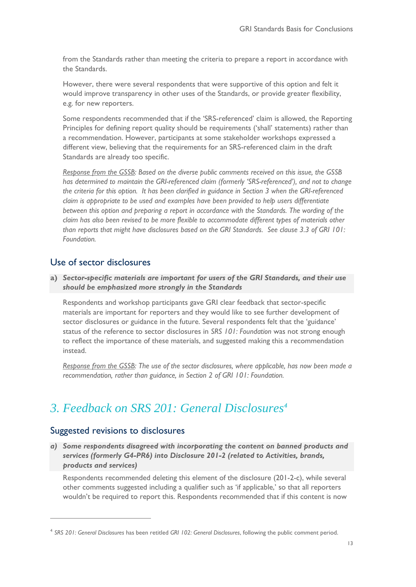from the Standards rather than meeting the criteria to prepare a report in accordance with the Standards.

However, there were several respondents that were supportive of this option and felt it would improve transparency in other uses of the Standards, or provide greater flexibility, e.g. for new reporters.

Some respondents recommended that if the 'SRS-referenced' claim is allowed, the Reporting Principles for defining report quality should be requirements ('shall' statements) rather than a recommendation. However, participants at some stakeholder workshops expressed a different view, believing that the requirements for an SRS-referenced claim in the draft Standards are already too specific.

*Response from the GSSB: Based on the diverse public comments received on this issue, the GSSB has determined to maintain the GRI-referenced claim (formerly 'SRS-referenced'), and not to change the criteria for this option. It has been clarified in guidance in Section 3 when the GRI-referenced claim is appropriate to be used and examples have been provided to help users differentiate between this option and preparing a report in accordance with the Standards. The wording of the claim has also been revised to be more flexible to accommodate different types of materials other than reports that might have disclosures based on the GRI Standards. See clause 3.3 of GRI 101: Foundation.*

# Use of sector disclosures

**a)** *Sector-specific materials are important for users of the GRI Standards, and their use should be emphasized more strongly in the Standards* 

Respondents and workshop participants gave GRI clear feedback that sector-specific materials are important for reporters and they would like to see further development of sector disclosures or guidance in the future. Several respondents felt that the 'guidance' status of the reference to sector disclosures in *SRS 101: Foundation* was not strong enough to reflect the importance of these materials, and suggested making this a recommendation instead.

*Response from the GSSB: The use of the sector disclosures, where applicable, has now been made a recommendation, rather than guidance, in Section 2 of GRI 101: Foundation.* 

# <span id="page-12-0"></span>*3. Feedback on SRS 201: General Disclosures<sup>4</sup>*

### Suggested revisions to disclosures

 $\overline{a}$ 

*a) Some respondents disagreed with incorporating the content on banned products and services (formerly G4-PR6) into Disclosure 201-2 (related to Activities, brands, products and services)*

Respondents recommended deleting this element of the disclosure (201-2-c), while several other comments suggested including a qualifier such as 'if applicable,' so that all reporters wouldn't be required to report this. Respondents recommended that if this content is now

<sup>4</sup> *SRS 201: General Disclosures* has been retitled *GRI 102: General Disclosures*, following the public comment period.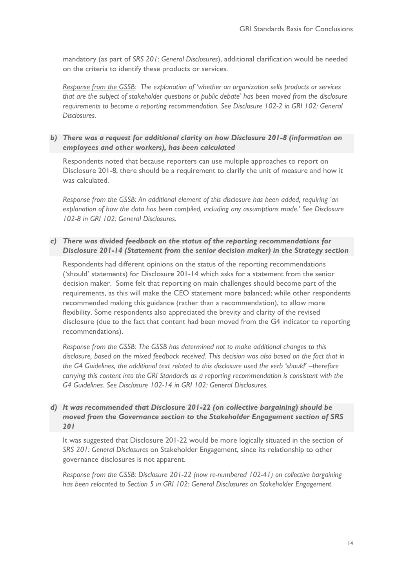mandatory (as part of *SRS 201: General Disclosures*), additional clarification would be needed on the criteria to identify these products or services.

*Response from the GSSB: The explanation of 'whether an organization sells products or services that are the subject of stakeholder questions or public debate' has been moved from the disclosure requirements to become a reporting recommendation. See Disclosure 102-2 in GRI 102: General Disclosures.*

### *b) There was a request for additional clarity on how Disclosure 201-8 (information on employees and other workers), has been calculated*

Respondents noted that because reporters can use multiple approaches to report on Disclosure 201-8, there should be a requirement to clarify the unit of measure and how it was calculated.

*Response from the GSSB: An additional element of this disclosure has been added, requiring 'an explanation of how the data has been compiled, including any assumptions made.' See Disclosure 102-8 in GRI 102: General Disclosures.* 

#### *c) There was divided feedback on the status of the reporting recommendations for Disclosure 201-14 (Statement from the senior decision maker) in the Strategy section*

Respondents had different opinions on the status of the reporting recommendations ('should' statements) for Disclosure 201-14 which asks for a statement from the senior decision maker. Some felt that reporting on main challenges should become part of the requirements, as this will make the CEO statement more balanced; while other respondents recommended making this guidance (rather than a recommendation), to allow more flexibility. Some respondents also appreciated the brevity and clarity of the revised disclosure (due to the fact that content had been moved from the G4 indicator to reporting recommendations).

*Response from the GSSB: The GSSB has determined not to make additional changes to this disclosure, based on the mixed feedback received. This decision was also based on the fact that in the G4 Guidelines, the additional text related to this disclosure used the verb 'should' –therefore carrying this content into the GRI Standards as a reporting recommendation is consistent with the G4 Guidelines. See Disclosure 102-14 in GRI 102: General Disclosures.* 

### *d) It was recommended that Disclosure 201-22 (on collective bargaining) should be moved from the Governance section to the Stakeholder Engagement section of SRS 201*

It was suggested that Disclosure 201-22 would be more logically situated in the section of *SRS 201: General Disclosures* on Stakeholder Engagement, since its relationship to other governance disclosures is not apparent.

*Response from the GSSB: Disclosure 201-22 (now re-numbered 102-41) on collective bargaining has been relocated to Section 5 in GRI 102: General Disclosures on Stakeholder Engagement.*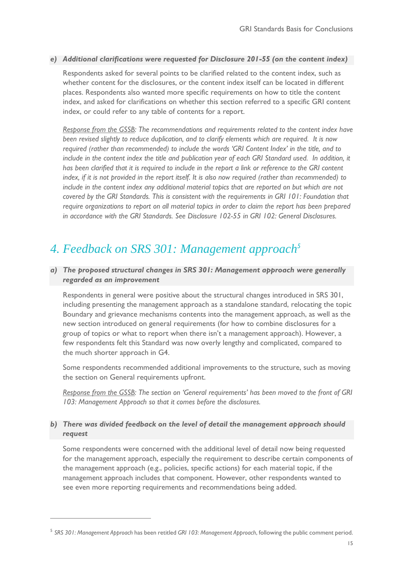### *e) Additional clarifications were requested for Disclosure 201-55 (on the content index)*

Respondents asked for several points to be clarified related to the content index, such as whether content for the disclosures, or the content index itself can be located in different places. Respondents also wanted more specific requirements on how to title the content index, and asked for clarifications on whether this section referred to a specific GRI content index, or could refer to any table of contents for a report.

*Response from the GSSB: The recommendations and requirements related to the content index have been revised slightly to reduce duplication, and to clarify elements which are required. It is now required (rather than recommended) to include the words 'GRI Content Index' in the title, and to include in the content index the title and publication year of each GRI Standard used. In addition, it has been clarified that it is required to include in the report a link or reference to the GRI content index, if it is not provided in the report itself. It is also now required (rather than recommended) to include in the content index any additional material topics that are reported on but which are not covered by the GRI Standards. This is consistent with the requirements in GRI 101: Foundation that require organizations to report on all material topics in order to claim the report has been prepared in accordance with the GRI Standards. See Disclosure 102-55 in GRI 102: General Disclosures.*

# <span id="page-14-0"></span>*4. Feedback on SRS 301: Management approach<sup>5</sup>*

### *a) The proposed structural changes in SRS 301: Management approach were generally regarded as an improvement*

Respondents in general were positive about the structural changes introduced in SRS 301, including presenting the management approach as a standalone standard, relocating the topic Boundary and grievance mechanisms contents into the management approach, as well as the new section introduced on general requirements (for how to combine disclosures for a group of topics or what to report when there isn't a management approach). However, a few respondents felt this Standard was now overly lengthy and complicated, compared to the much shorter approach in G4.

Some respondents recommended additional improvements to the structure, such as moving the section on General requirements upfront.

*Response from the GSSB*: The section on 'General requirements' has been moved to the front of GRI *103: Management Approach so that it comes before the disclosures.* 

#### *b) There was divided feedback on the level of detail the management approach should request*

Some respondents were concerned with the additional level of detail now being requested for the management approach, especially the requirement to describe certain components of the management approach (e.g., policies, specific actions) for each material topic, if the management approach includes that component. However, other respondents wanted to see even more reporting requirements and recommendations being added.

 $\overline{a}$ 

<sup>5</sup> *SRS 301: Management Approach* has been retitled *GRI 103: Management Approach*, following the public comment period.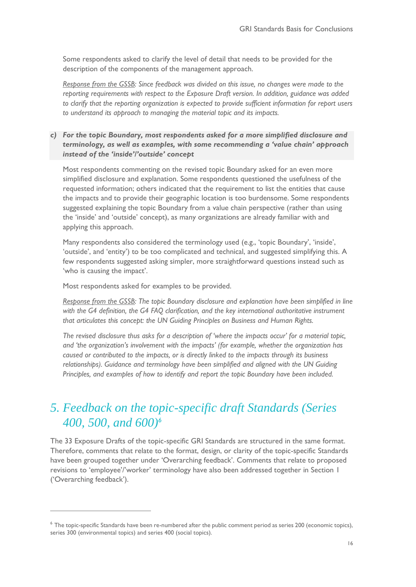Some respondents asked to clarify the level of detail that needs to be provided for the description of the components of the management approach.

*Response from the GSSB: Since feedback was divided on this issue, no changes were made to the reporting requirements with respect to the Exposure Draft version. In addition, guidance was added to clarify that the reporting organization is expected to provide sufficient information for report users to understand its approach to managing the material topic and its impacts.*

### *c) For the topic Boundary, most respondents asked for a more simplified disclosure and terminology, as well as examples, with some recommending a 'value chain' approach instead of the 'inside'/'outside' concept*

Most respondents commenting on the revised topic Boundary asked for an even more simplified disclosure and explanation. Some respondents questioned the usefulness of the requested information; others indicated that the requirement to list the entities that cause the impacts and to provide their geographic location is too burdensome. Some respondents suggested explaining the topic Boundary from a value chain perspective (rather than using the 'inside' and 'outside' concept), as many organizations are already familiar with and applying this approach.

Many respondents also considered the terminology used (e.g., 'topic Boundary', 'inside', 'outside', and 'entity') to be too complicated and technical, and suggested simplifying this. A few respondents suggested asking simpler, more straightforward questions instead such as 'who is causing the impact'.

Most respondents asked for examples to be provided.

 $\overline{a}$ 

*Response from the GSSB: The topic Boundary disclosure and explanation have been simplified in line with the G4 definition, the G4 FAQ clarification, and the key international authoritative instrument that articulates this concept: the UN Guiding Principles on Business and Human Rights.* 

*The revised disclosure thus asks for a description of 'where the impacts occur' for a material topic, and 'the organization's involvement with the impacts' (for example, whether the organization has caused or contributed to the impacts, or is directly linked to the impacts through its business relationships). Guidance and terminology have been simplified and aligned with the UN Guiding Principles, and examples of how to identify and report the topic Boundary have been included.*

# <span id="page-15-0"></span>*5. Feedback on the topic-specific draft Standards (Series 400, 500, and 600)<sup>6</sup>*

The 33 Exposure Drafts of the topic-specific GRI Standards are structured in the same format. Therefore, comments that relate to the format, design, or clarity of the topic-specific Standards have been grouped together under 'Overarching feedback'. Comments that relate to proposed revisions to 'employee'/'worker' terminology have also been addressed together in Section 1 ('Overarching feedback').

<sup>&</sup>lt;sup>6</sup> The topic-specific Standards have been re-numbered after the public comment period as series 200 (economic topics), series 300 (environmental topics) and series 400 (social topics).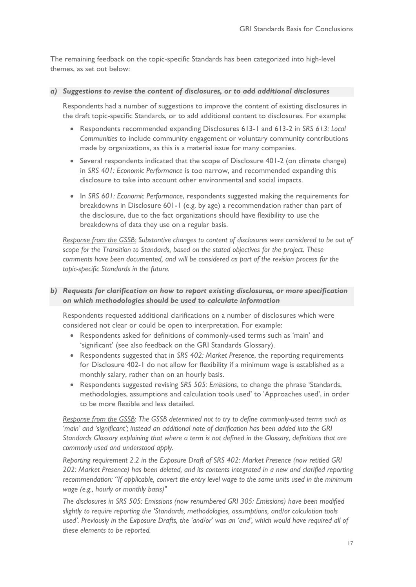The remaining feedback on the topic-specific Standards has been categorized into high-level themes, as set out below:

#### *a) Suggestions to revise the content of disclosures, or to add additional disclosures*

Respondents had a number of suggestions to improve the content of existing disclosures in the draft topic-specific Standards, or to add additional content to disclosures. For example:

- Respondents recommended expanding Disclosures 613-1 and 613-2 in *SRS 613: Local Communities* to include community engagement or voluntary community contributions made by organizations, as this is a material issue for many companies.
- Several respondents indicated that the scope of Disclosure 401-2 (on climate change) in *SRS 401: Economic Performance* is too narrow, and recommended expanding this disclosure to take into account other environmental and social impacts.
- In *SRS 601: Economic Performance*, respondents suggested making the requirements for breakdowns in Disclosure 601-1 (e.g. by age) a recommendation rather than part of the disclosure, due to the fact organizations should have flexibility to use the breakdowns of data they use on a regular basis.

*Response from the GSSB: Substantive changes to content of disclosures were considered to be out of scope for the Transition to Standards, based on the stated objectives for the project. These comments have been documented, and will be considered as part of the revision process for the topic-specific Standards in the future.*

### *b) Requests for clarification on how to report existing disclosures, or more specification on which methodologies should be used to calculate information*

Respondents requested additional clarifications on a number of disclosures which were considered not clear or could be open to interpretation. For example:

- Respondents asked for definitions of commonly-used terms such as 'main' and 'significant' (see also feedback on the GRI Standards Glossary).
- Respondents suggested that in *SRS 402: Market Presence*, the reporting requirements for Disclosure 402-1 do not allow for flexibility if a minimum wage is established as a monthly salary, rather than on an hourly basis.
- Respondents suggested revising *SRS 505: Emissions*, to change the phrase 'Standards, methodologies, assumptions and calculation tools used' to 'Approaches used', in order to be more flexible and less detailed.

*Response from the GSSB: The GSSB determined not to try to define commonly-used terms such as 'main' and 'significant'; instead an additional note of clarification has been added into the GRI Standards Glossary explaining that where a term is not defined in the Glossary, definitions that are commonly used and understood apply.*

*Reporting requirement 2.2 in the Exposure Draft of SRS 402: Market Presence (now retitled GRI 202: Market Presence) has been deleted, and its contents integrated in a new and clarified reporting recommendation: "If applicable, convert the entry level wage to the same units used in the minimum wage (e.g., hourly or monthly basis)"*

*The disclosures in SRS 505: Emissions (now renumbered GRI 305: Emissions) have been modified slightly to require reporting the 'Standards, methodologies, assumptions, and/or calculation tools used'. Previously in the Exposure Drafts, the 'and/or' was an 'and', which would have required all of these elements to be reported.*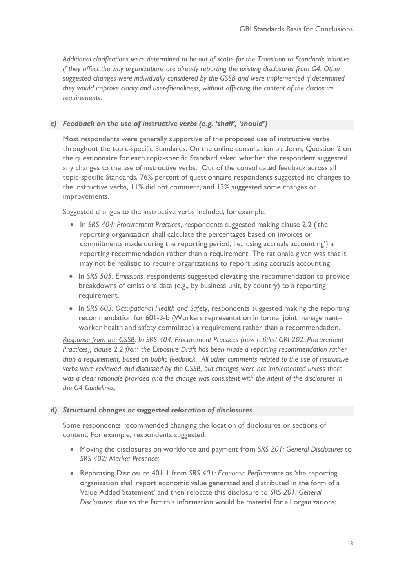*Additional clarifications were determined to be out of scope for the Transition to Standards initiative if they affect the way organizations are already reporting the existing disclosures from G4. Other*  suggested changes were individually considered by the GSSB and were implemented if determined *they would improve clarity and user-friendliness, without affecting the content of the disclosure requirements.*

#### *c) Feedback on the use of instructive verbs (e.g. 'shall', 'should')*

Most respondents were generally supportive of the proposed use of instructive verbs throughout the topic-specific Standards. On the online consultation platform, Question 2 on the questionnaire for each topic-specific Standard asked whether the respondent suggested any changes to the use of instructive verbs. Out of the consolidated feedback across all topic-specific Standards, 76% percent of questionnaire respondents suggested no changes to the instructive verbs, 11% did not comment, and 13% suggested some changes or improvements.

Suggested changes to the instructive verbs included, for example:

- In *SRS 404: Procurement Practices*, respondents suggested making clause 2.2 ('the reporting organization shall calculate the percentages based on invoices or commitments made during the reporting period, i.e., using accruals accounting') a reporting recommendation rather than a requirement. The rationale given was that it may not be realistic to require organizations to report using accruals accounting.
- In *SRS 505: Emissions*, respondents suggested elevating the recommendation to provide breakdowns of emissions data (e.g., by business unit, by country) to a reporting requirement.
- In *SRS 603: Occupational Health and Safety*, respondents suggested making the reporting recommendation for 601-3-b (Workers representation in formal joint management– worker health and safety committee) a requirement rather than a recommendation.

*Response from the GSSB: In SRS 404: Procurement Practices (now retitled GRI 202: Procurement Practices), clause 2.2 from the Exposure Draft has been made a reporting recommendation rather than a requirement, based on public feedback. All other comments related to the use of instructive verbs were reviewed and discussed by the GSSB, but changes were not implemented unless there was a clear rationale provided and the change was consistent with the intent of the disclosures in the G4 Guidelines.* 

#### *d) Structural changes or suggested relocation of disclosures*

Some respondents recommended changing the location of disclosures or sections of content. For example, respondents suggested:

- Moving the disclosures on workforce and payment from *SRS 201: General Disclosures* to *SRS 402: Market Presence;*
- Rephrasing Disclosure 401-1 from *SRS 401: Economic Performance* as 'the reporting organization shall report economic value generated and distributed in the form of a Value Added Statement' and then relocate this disclosure to *SRS 201: General Disclosures*, due to the fact this information would be material for all organizations;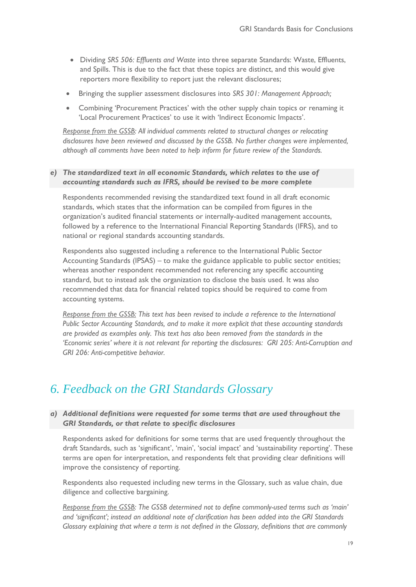- Dividing *SRS 506: Effluents and Waste* into three separate Standards: Waste, Effluents, and Spills. This is due to the fact that these topics are distinct, and this would give reporters more flexibility to report just the relevant disclosures;
- Bringing the supplier assessment disclosures into *SRS 301: Management Approach;*
- Combining 'Procurement Practices' with the other supply chain topics or renaming it 'Local Procurement Practices' to use it with 'Indirect Economic Impacts'.

*Response from the GSSB: All individual comments related to structural changes or relocating disclosures have been reviewed and discussed by the GSSB. No further changes were implemented, although all comments have been noted to help inform for future review of the Standards.*

#### *e) The standardized text in all economic Standards, which relates to the use of accounting standards such as IFRS, should be revised to be more complete*

Respondents recommended revising the standardized text found in all draft economic standards, which states that the information can be compiled from figures in the organization's audited financial statements or internally-audited management accounts, followed by a reference to the International Financial Reporting Standards (IFRS), and to national or regional standards accounting standards.

Respondents also suggested including a reference to the International Public Sector Accounting Standards (IPSAS) – to make the guidance applicable to public sector entities; whereas another respondent recommended not referencing any specific accounting standard, but to instead ask the organization to disclose the basis used. It was also recommended that data for financial related topics should be required to come from accounting systems.

*Response from the GSSB: This text has been revised to include a reference to the International Public Sector Accounting Standards, and to make it more explicit that these accounting standards are provided as examples only. This text has also been removed from the standards in the 'Economic series' where it is not relevant for reporting the disclosures: GRI 205: Anti-Corruption and GRI 206: Anti-competitive behavior.* 

# <span id="page-18-0"></span>*6. Feedback on the GRI Standards Glossary*

#### *a) Additional definitions were requested for some terms that are used throughout the GRI Standards, or that relate to specific disclosures*

Respondents asked for definitions for some terms that are used frequently throughout the draft Standards, such as 'significant', 'main', 'social impact' and 'sustainability reporting'. These terms are open for interpretation, and respondents felt that providing clear definitions will improve the consistency of reporting.

Respondents also requested including new terms in the Glossary, such as value chain, due diligence and collective bargaining.

*Response from the GSSB: The GSSB determined not to define commonly-used terms such as 'main' and 'significant'; instead an additional note of clarification has been added into the GRI Standards Glossary explaining that where a term is not defined in the Glossary, definitions that are commonly*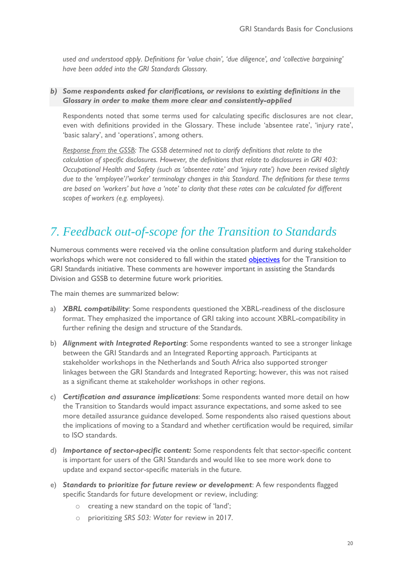*used and understood apply. Definitions for 'value chain', 'due diligence', and 'collective bargaining' have been added into the GRI Standards Glossary.*

### *b) Some respondents asked for clarifications, or revisions to existing definitions in the Glossary in order to make them more clear and consistently-applied*

Respondents noted that some terms used for calculating specific disclosures are not clear, even with definitions provided in the Glossary. These include 'absentee rate', 'injury rate', 'basic salary', and 'operations', among others.

*Response from the GSSB: The GSSB determined not to clarify definitions that relate to the calculation of specific disclosures. However, the definitions that relate to disclosures in GRI 403: Occupational Health and Safety (such as 'absentee rate' and 'injury rate') have been revised slightly due to the 'employee'/'worker' terminology changes in this Standard. The definitions for these terms are based on 'workers' but have a 'note' to clarity that these rates can be calculated for different scopes of workers (e.g. employees).* 

# <span id="page-19-0"></span>*7. Feedback out-of-scope for the Transition to Standards*

Numerous comments were received via the online consultation platform and during stakeholder workshops which were not considered to fall within the stated **[objectives](#page-1-0)** for the Transition to GRI Standards initiative. These comments are however important in assisting the Standards Division and GSSB to determine future work priorities.

The main themes are summarized below:

- a) *XBRL compatibility*: Some respondents questioned the XBRL-readiness of the disclosure format. They emphasized the importance of GRI taking into account XBRL-compatibility in further refining the design and structure of the Standards.
- b) *Alignment with Integrated Reporting*: Some respondents wanted to see a stronger linkage between the GRI Standards and an Integrated Reporting approach. Participants at stakeholder workshops in the Netherlands and South Africa also supported stronger linkages between the GRI Standards and Integrated Reporting; however, this was not raised as a significant theme at stakeholder workshops in other regions.
- c) *Certification and assurance implications*: Some respondents wanted more detail on how the Transition to Standards would impact assurance expectations, and some asked to see more detailed assurance guidance developed. Some respondents also raised questions about the implications of moving to a Standard and whether certification would be required, similar to ISO standards.
- d) *Importance of sector-specific content:* Some respondents felt that sector-specific content is important for users of the GRI Standards and would like to see more work done to update and expand sector-specific materials in the future.
- e) *Standards to prioritize for future review or development*: A few respondents flagged specific Standards for future development or review, including:
	- o creating a new standard on the topic of 'land';
	- o prioritizing *SRS 503: Water* for review in 2017.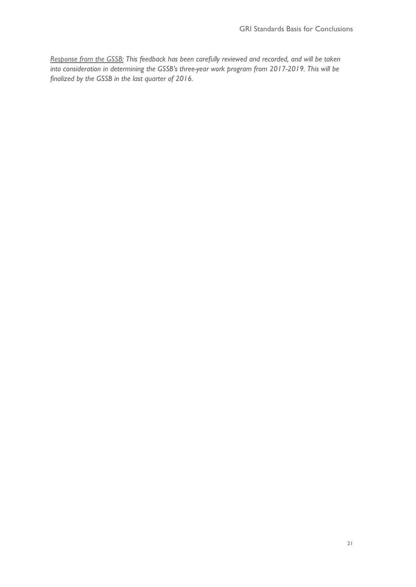<span id="page-20-0"></span>*Response from the GSSB: This feedback has been carefully reviewed and recorded, and will be taken into consideration in determining the GSSB's three-year work program from 2017-2019. This will be finalized by the GSSB in the last quarter of 2016.*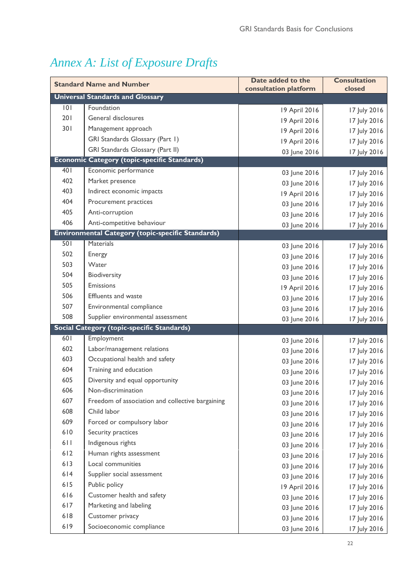# *Annex A: List of Exposure Drafts*

| <b>Standard Name and Number</b> |                                                          | Date added to the<br>consultation platform | <b>Consultation</b><br>closed |
|---------------------------------|----------------------------------------------------------|--------------------------------------------|-------------------------------|
|                                 | <b>Universal Standards and Glossary</b>                  |                                            |                               |
| 0                               | Foundation                                               | 19 April 2016                              | 17 July 2016                  |
| 201                             | General disclosures                                      | 19 April 2016                              | 17 July 2016                  |
| 301                             | Management approach                                      | 19 April 2016                              | 17 July 2016                  |
|                                 | GRI Standards Glossary (Part 1)                          | 19 April 2016                              | 17 July 2016                  |
|                                 | GRI Standards Glossary (Part II)                         | 03 June 2016                               | 17 July 2016                  |
|                                 | <b>Economic Category (topic-specific Standards)</b>      |                                            |                               |
| 401                             | Economic performance                                     | 03 June 2016                               | 17 July 2016                  |
| 402                             | Market presence                                          | 03 June 2016                               | 17 July 2016                  |
| 403                             | Indirect economic impacts                                | 19 April 2016                              | 17 July 2016                  |
| 404                             | Procurement practices                                    | 03 June 2016                               | 17 July 2016                  |
| 405                             | Anti-corruption                                          | 03 June 2016                               | 17 July 2016                  |
| 406                             | Anti-competitive behaviour                               | 03 June 2016                               | 17 July 2016                  |
|                                 | <b>Environmental Category (topic-specific Standards)</b> |                                            |                               |
| 501                             | <b>Materials</b>                                         | 03 June 2016                               | 17 July 2016                  |
| 502                             | Energy                                                   | 03 June 2016                               | 17 July 2016                  |
| 503                             | Water                                                    | 03 June 2016                               | 17 July 2016                  |
| 504                             | Biodiversity                                             | 03 June 2016                               | 17 July 2016                  |
| 505                             | Emissions                                                | 19 April 2016                              | 17 July 2016                  |
| 506                             | <b>Effluents and waste</b>                               | 03 June 2016                               | 17 July 2016                  |
| 507                             | Environmental compliance                                 | 03 June 2016                               | 17 July 2016                  |
| 508                             | Supplier environmental assessment                        | 03 June 2016                               | 17 July 2016                  |
|                                 | <b>Social Category (topic-specific Standards)</b>        |                                            |                               |
| 601                             | Employment                                               | 03 June 2016                               | 17 July 2016                  |
| 602                             | Labor/management relations                               | 03 June 2016                               | 17 July 2016                  |
| 603                             | Occupational health and safety                           | 03 June 2016                               | 17 July 2016                  |
| 604                             | Training and education                                   | 03 June 2016                               | 17 July 2016                  |
| 605                             | Diversity and equal opportunity                          | 03 June 2016                               | 17 July 2016                  |
| 606                             | Non-discrimination                                       | 03 June 2016                               | 17 July 2016                  |
| 607                             | Freedom of association and collective bargaining         | 03 June 2016                               | 17 July 2016                  |
| 608                             | Child labor                                              | 03 June 2016                               | 17 July 2016                  |
| 609                             | Forced or compulsory labor                               | 03 June 2016                               | 17 July 2016                  |
| 610                             | Security practices                                       | 03 June 2016                               | 17 July 2016                  |
| 611                             | Indigenous rights                                        | 03 June 2016                               | 17 July 2016                  |
| 612                             | Human rights assessment                                  | 03 June 2016                               | 17 July 2016                  |
| 613                             | Local communities                                        | 03 June 2016                               | 17 July 2016                  |
| 614                             | Supplier social assessment                               | 03 June 2016                               | 17 July 2016                  |
| 615                             | Public policy                                            | 19 April 2016                              | 17 July 2016                  |
| 616                             | Customer health and safety                               | 03 June 2016                               | 17 July 2016                  |
| 617                             | Marketing and labeling                                   | 03 June 2016                               | 17 July 2016                  |
| 618                             | Customer privacy                                         | 03 June 2016                               | 17 July 2016                  |
| 619                             | Socioeconomic compliance                                 | 03 June 2016                               | 17 July 2016                  |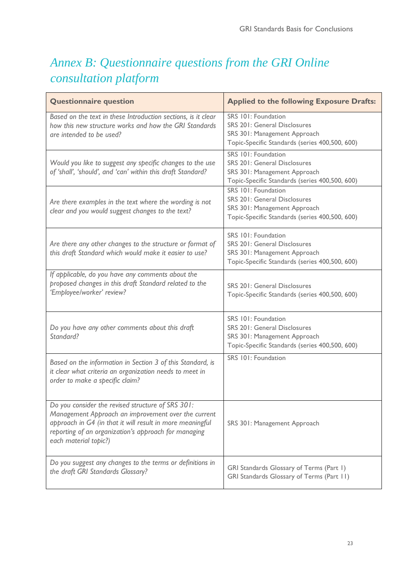# <span id="page-22-0"></span>*Annex B: Questionnaire questions from the GRI Online consultation platform*

| <b>Questionnaire question</b>                                                                                                                                                                                                                          | <b>Applied to the following Exposure Drafts:</b>                                                                                             |  |
|--------------------------------------------------------------------------------------------------------------------------------------------------------------------------------------------------------------------------------------------------------|----------------------------------------------------------------------------------------------------------------------------------------------|--|
| Based on the text in these Introduction sections, is it clear<br>how this new structure works and how the GRI Standards<br>are intended to be used?                                                                                                    | SRS 101: Foundation<br><b>SRS 201: General Disclosures</b><br>SRS 301: Management Approach<br>Topic-Specific Standards (series 400,500, 600) |  |
| Would you like to suggest any specific changes to the use<br>of 'shall', 'should', and 'can' within this draft Standard?                                                                                                                               | SRS 101: Foundation<br>SRS 201: General Disclosures<br>SRS 301: Management Approach<br>Topic-Specific Standards (series 400,500, 600)        |  |
| Are there examples in the text where the wording is not<br>clear and you would suggest changes to the text?                                                                                                                                            | SRS 101: Foundation<br><b>SRS 201: General Disclosures</b><br>SRS 301: Management Approach<br>Topic-Specific Standards (series 400,500, 600) |  |
| Are there any other changes to the structure or format of<br>this draft Standard which would make it easier to use?                                                                                                                                    | SRS 101: Foundation<br><b>SRS 201: General Disclosures</b><br>SRS 301: Management Approach<br>Topic-Specific Standards (series 400,500, 600) |  |
| If applicable, do you have any comments about the<br>proposed changes in this draft Standard related to the<br>'Employee/worker' review?                                                                                                               | <b>SRS 201: General Disclosures</b><br>Topic-Specific Standards (series 400,500, 600)                                                        |  |
| Do you have any other comments about this draft<br>Standard?                                                                                                                                                                                           | SRS 101: Foundation<br><b>SRS 201: General Disclosures</b><br>SRS 301: Management Approach<br>Topic-Specific Standards (series 400,500, 600) |  |
| Based on the information in Section 3 of this Standard, is<br>it clear what criteria an organization needs to meet in<br>order to make a specific claim?                                                                                               | SRS 101: Foundation                                                                                                                          |  |
| Do you consider the revised structure of SRS 301:<br>Management Approach an improvement over the current<br>approach in G4 (in that it will result in more meaningful<br>reporting of an organization's approach for managing<br>each material topic?) | SRS 301: Management Approach                                                                                                                 |  |
| Do you suggest any changes to the terms or definitions in<br>the draft GRI Standards Glossary?                                                                                                                                                         | GRI Standards Glossary of Terms (Part 1)<br>GRI Standards Glossary of Terms (Part 11)                                                        |  |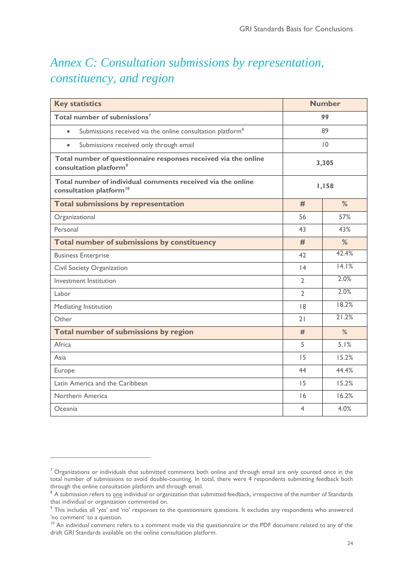# <span id="page-23-0"></span>*Annex C: Consultation submissions by representation, constituency, and region*

| <b>Key statistics</b>                                                                                 | <b>Number</b> |       |  |
|-------------------------------------------------------------------------------------------------------|---------------|-------|--|
| Total number of submissions <sup>7</sup>                                                              |               | 99    |  |
| Submissions received via the online consultation platform <sup>8</sup><br>$\bullet$                   |               | 89    |  |
| Submissions received only through email<br>$\bullet$                                                  |               | 10    |  |
| Total number of questionnaire responses received via the online<br>consultation platform <sup>9</sup> |               | 3,305 |  |
| Total number of individual comments received via the online<br>consultation platform <sup>10</sup>    | 1,158         |       |  |
| <b>Total submissions by representation</b>                                                            | #             | %     |  |
| Organizational                                                                                        | 56            | 57%   |  |
| Personal                                                                                              | 43            | 43%   |  |
| Total number of submissions by constituency                                                           |               | %     |  |
| <b>Business Enterprise</b>                                                                            |               | 42.4% |  |
| Civil Society Organization                                                                            | 4             | 14.1% |  |
| Investment Institution                                                                                |               | 2.0%  |  |
| Labor                                                                                                 |               | 2.0%  |  |
| Mediating Institution                                                                                 |               | 18.2% |  |
| Other                                                                                                 | 21            | 21.2% |  |
| Total number of submissions by region                                                                 |               | $\%$  |  |
| Africa                                                                                                | 5             | 5.1%  |  |
| Asia                                                                                                  | 15            | 15.2% |  |
| Europe                                                                                                |               | 44.4% |  |
| Latin America and the Caribbean                                                                       |               | 15.2% |  |
| Northern America                                                                                      |               | 16.2% |  |
| Oceania                                                                                               |               | 4.0%  |  |

 $\overline{a}$ 

 $7$  Organizations or individuals that submitted comments both online and through email are only counted once in the total number of submissions to avoid double-counting. In total, there were 4 respondents submitting feedback both through the online consultation platform and through email.

<sup>&</sup>lt;sup>8</sup> A submission refers to <u>one</u> individual or organization that submitted feedback, irrespective of the number of Standards that individual or organization commented on.

<sup>&</sup>lt;sup>9</sup> This includes all 'yes' and 'no' responses to the questionnaire questions. It excludes any respondents who answered 'no comment' to a question.

<sup>&</sup>lt;sup>10</sup> An individual comment refers to a comment made via the questionnaire or the PDF document related to any of the draft GRI Standards available on the online consultation platform.